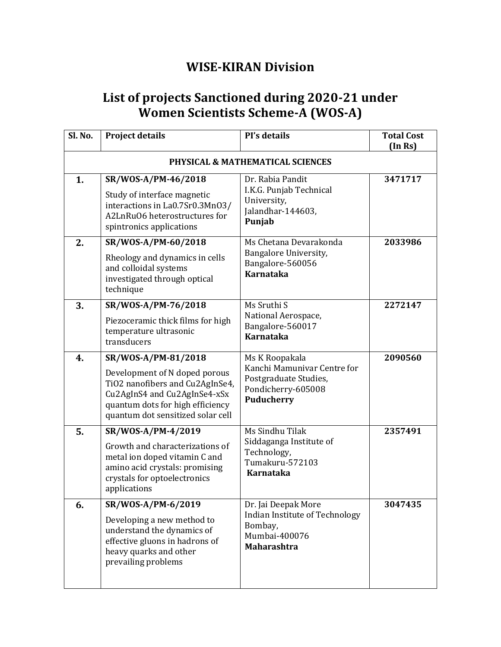## **WISE-KIRAN Division**

## **List of projects Sanctioned during 2020-21 under Women Scientists Scheme-A (WOS-A)**

| Sl. No. | <b>Project details</b>                                                                                                                                                                           | PI's details                                                                                                      | <b>Total Cost</b><br>(In Rs) |
|---------|--------------------------------------------------------------------------------------------------------------------------------------------------------------------------------------------------|-------------------------------------------------------------------------------------------------------------------|------------------------------|
|         |                                                                                                                                                                                                  | PHYSICAL & MATHEMATICAL SCIENCES                                                                                  |                              |
| 1.      | SR/WOS-A/PM-46/2018<br>Study of interface magnetic<br>interactions in La0.7Sr0.3Mn03/<br>A2LnRuO6 heterostructures for<br>spintronics applications                                               | Dr. Rabia Pandit<br>I.K.G. Punjab Technical<br>University,<br>Jalandhar-144603,<br>Punjab                         | 3471717                      |
| 2.      | SR/WOS-A/PM-60/2018<br>Rheology and dynamics in cells<br>and colloidal systems<br>investigated through optical<br>technique                                                                      | Ms Chetana Devarakonda<br>Bangalore University,<br>Bangalore-560056<br><b>Karnataka</b>                           | 2033986                      |
| 3.      | SR/WOS-A/PM-76/2018<br>Piezoceramic thick films for high<br>temperature ultrasonic<br>transducers                                                                                                | Ms Sruthi S<br>National Aerospace,<br>Bangalore-560017<br><b>Karnataka</b>                                        | 2272147                      |
| 4.      | SR/WOS-A/PM-81/2018<br>Development of N doped porous<br>TiO2 nanofibers and Cu2AgInSe4,<br>Cu2AgInS4 and Cu2AgInSe4-xSx<br>quantum dots for high efficiency<br>quantum dot sensitized solar cell | Ms K Roopakala<br>Kanchi Mamunivar Centre for<br>Postgraduate Studies,<br>Pondicherry-605008<br><b>Puducherry</b> | 2090560                      |
| 5.      | SR/WOS-A/PM-4/2019<br>Growth and characterizations of<br>metal ion doped vitamin C and<br>amino acid crystals: promising<br>crystals for optoelectronics<br>applications                         | Ms Sindhu Tilak<br>Siddaganga Institute of<br>Technology,<br>Tumakuru-572103<br><b>Karnataka</b>                  | 2357491                      |
| 6.      | SR/WOS-A/PM-6/2019<br>Developing a new method to<br>understand the dynamics of<br>effective gluons in hadrons of<br>heavy quarks and other<br>prevailing problems                                | Dr. Jai Deepak More<br>Indian Institute of Technology<br>Bombay,<br>Mumbai-400076<br><b>Maharashtra</b>           | 3047435                      |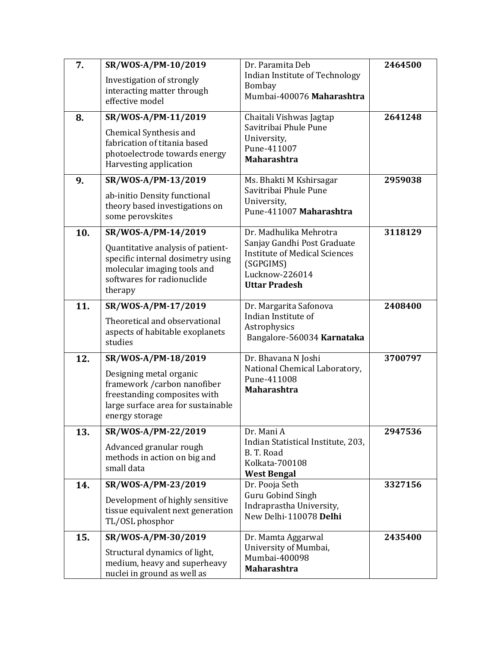| 7.  | SR/WOS-A/PM-10/2019                                                                                                                             | Dr. Paramita Deb                                                                                                           | 2464500 |
|-----|-------------------------------------------------------------------------------------------------------------------------------------------------|----------------------------------------------------------------------------------------------------------------------------|---------|
|     | Investigation of strongly<br>interacting matter through<br>effective model                                                                      | Indian Institute of Technology<br><b>Bombay</b><br>Mumbai-400076 Maharashtra                                               |         |
| 8.  | SR/WOS-A/PM-11/2019                                                                                                                             | Chaitali Vishwas Jagtap                                                                                                    | 2641248 |
|     | Chemical Synthesis and<br>fabrication of titania based<br>photoelectrode towards energy<br>Harvesting application                               | Savitribai Phule Pune<br>University,<br>Pune-411007<br><b>Maharashtra</b>                                                  |         |
| 9.  | SR/WOS-A/PM-13/2019                                                                                                                             | Ms. Bhakti M Kshirsagar                                                                                                    | 2959038 |
|     | ab-initio Density functional<br>theory based investigations on<br>some perovskites                                                              | Savitribai Phule Pune<br>University,<br>Pune-411007 Maharashtra                                                            |         |
| 10. | SR/WOS-A/PM-14/2019                                                                                                                             | Dr. Madhulika Mehrotra                                                                                                     | 3118129 |
|     | Quantitative analysis of patient-<br>specific internal dosimetry using<br>molecular imaging tools and<br>softwares for radionuclide<br>therapy  | Sanjay Gandhi Post Graduate<br><b>Institute of Medical Sciences</b><br>(SGPGIMS)<br>Lucknow-226014<br><b>Uttar Pradesh</b> |         |
| 11. | SR/WOS-A/PM-17/2019                                                                                                                             | Dr. Margarita Safonova                                                                                                     | 2408400 |
|     | Theoretical and observational<br>aspects of habitable exoplanets<br>studies                                                                     | Indian Institute of<br>Astrophysics<br>Bangalore-560034 Karnataka                                                          |         |
| 12. | SR/WOS-A/PM-18/2019                                                                                                                             | Dr. Bhavana N Joshi                                                                                                        | 3700797 |
|     | Designing metal organic<br>framework / carbon nanofiber<br>freestanding composites with<br>large surface area for sustainable<br>energy storage | National Chemical Laboratory,<br>Pune-411008<br><b>Maharashtra</b>                                                         |         |
| 13. | SR/WOS-A/PM-22/2019                                                                                                                             | Dr. Mani A                                                                                                                 | 2947536 |
|     | Advanced granular rough<br>methods in action on big and<br>small data                                                                           | Indian Statistical Institute, 203,<br>B.T. Road<br>Kolkata-700108<br><b>West Bengal</b>                                    |         |
| 14. | SR/WOS-A/PM-23/2019                                                                                                                             | Dr. Pooja Seth                                                                                                             | 3327156 |
|     | Development of highly sensitive<br>tissue equivalent next generation<br>TL/OSL phosphor                                                         | Guru Gobind Singh<br>Indraprastha University,<br>New Delhi-110078 Delhi                                                    |         |
| 15. | SR/WOS-A/PM-30/2019                                                                                                                             | Dr. Mamta Aggarwal<br>University of Mumbai,                                                                                | 2435400 |
|     | Structural dynamics of light,<br>medium, heavy and superheavy<br>nuclei in ground as well as                                                    | Mumbai-400098<br><b>Maharashtra</b>                                                                                        |         |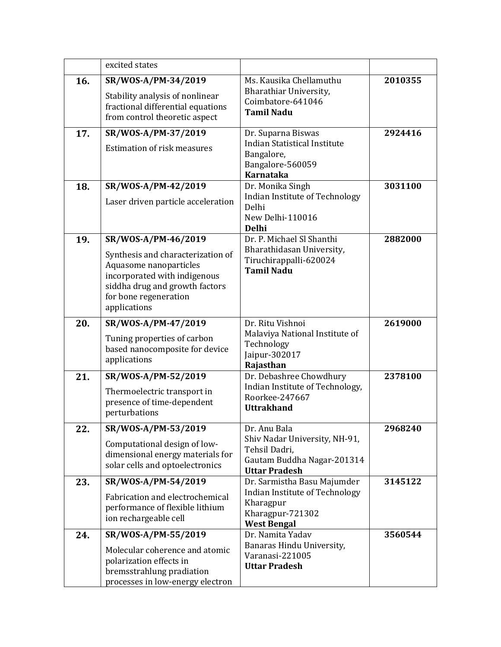|     | excited states                                                                                                                                                                                |                                                                                                                      |         |
|-----|-----------------------------------------------------------------------------------------------------------------------------------------------------------------------------------------------|----------------------------------------------------------------------------------------------------------------------|---------|
| 16. | SR/WOS-A/PM-34/2019<br>Stability analysis of nonlinear<br>fractional differential equations<br>from control theoretic aspect                                                                  | Ms. Kausika Chellamuthu<br>Bharathiar University,<br>Coimbatore-641046<br><b>Tamil Nadu</b>                          | 2010355 |
| 17. | SR/WOS-A/PM-37/2019<br><b>Estimation of risk measures</b>                                                                                                                                     | Dr. Suparna Biswas<br><b>Indian Statistical Institute</b><br>Bangalore,<br>Bangalore-560059<br><b>Karnataka</b>      | 2924416 |
| 18. | SR/WOS-A/PM-42/2019<br>Laser driven particle acceleration                                                                                                                                     | Dr. Monika Singh<br>Indian Institute of Technology<br>Delhi<br>New Delhi-110016<br><b>Delhi</b>                      | 3031100 |
| 19. | SR/WOS-A/PM-46/2019<br>Synthesis and characterization of<br>Aquasome nanoparticles<br>incorporated with indigenous<br>siddha drug and growth factors<br>for bone regeneration<br>applications | Dr. P. Michael Sl Shanthi<br>Bharathidasan University,<br>Tiruchirappalli-620024<br><b>Tamil Nadu</b>                | 2882000 |
| 20. | SR/WOS-A/PM-47/2019<br>Tuning properties of carbon<br>based nanocomposite for device<br>applications                                                                                          | Dr. Ritu Vishnoi<br>Malaviya National Institute of<br>Technology<br>Jaipur-302017<br>Rajasthan                       | 2619000 |
| 21. | SR/WOS-A/PM-52/2019<br>Thermoelectric transport in<br>presence of time-dependent<br>perturbations                                                                                             | Dr. Debashree Chowdhury<br>Indian Institute of Technology,<br>Roorkee-247667<br><b>Uttrakhand</b>                    | 2378100 |
| 22. | SR/WOS-A/PM-53/2019<br>Computational design of low-<br>dimensional energy materials for<br>solar cells and optoelectronics                                                                    | Dr. Anu Bala<br>Shiv Nadar University, NH-91,<br>Tehsil Dadri,<br>Gautam Buddha Nagar-201314<br><b>Uttar Pradesh</b> | 2968240 |
| 23. | SR/WOS-A/PM-54/2019<br>Fabrication and electrochemical<br>performance of flexible lithium<br>ion rechargeable cell                                                                            | Dr. Sarmistha Basu Majumder<br>Indian Institute of Technology<br>Kharagpur<br>Kharagpur-721302<br><b>West Bengal</b> | 3145122 |
| 24. | SR/WOS-A/PM-55/2019<br>Molecular coherence and atomic<br>polarization effects in<br>bremsstrahlung pradiation<br>processes in low-energy electron                                             | Dr. Namita Yadav<br>Banaras Hindu University,<br>Varanasi-221005<br><b>Uttar Pradesh</b>                             | 3560544 |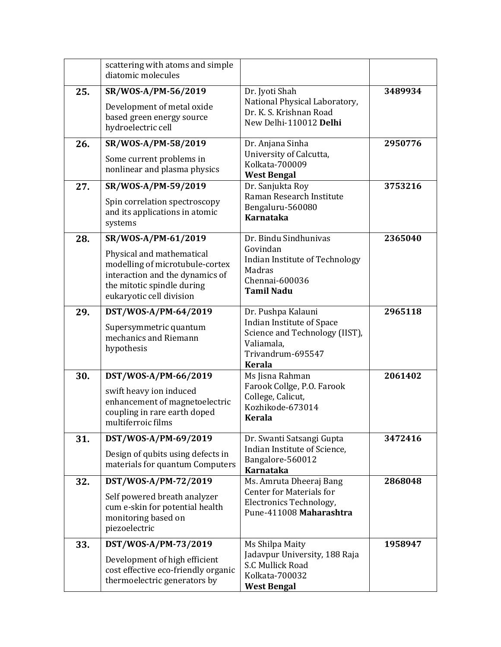|     | scattering with atoms and simple<br>diatomic molecules                                                                                                                           |                                                                                                                                       |         |
|-----|----------------------------------------------------------------------------------------------------------------------------------------------------------------------------------|---------------------------------------------------------------------------------------------------------------------------------------|---------|
| 25. | SR/WOS-A/PM-56/2019<br>Development of metal oxide<br>based green energy source<br>hydroelectric cell                                                                             | Dr. Jyoti Shah<br>National Physical Laboratory,<br>Dr. K. S. Krishnan Road<br>New Delhi-110012 Delhi                                  | 3489934 |
| 26. | SR/WOS-A/PM-58/2019<br>Some current problems in<br>nonlinear and plasma physics                                                                                                  | Dr. Anjana Sinha<br>University of Calcutta,<br>Kolkata-700009<br><b>West Bengal</b>                                                   | 2950776 |
| 27. | SR/WOS-A/PM-59/2019<br>Spin correlation spectroscopy<br>and its applications in atomic<br>systems                                                                                | Dr. Sanjukta Roy<br>Raman Research Institute<br>Bengaluru-560080<br><b>Karnataka</b>                                                  | 3753216 |
| 28. | SR/WOS-A/PM-61/2019<br>Physical and mathematical<br>modelling of microtubule-cortex<br>interaction and the dynamics of<br>the mitotic spindle during<br>eukaryotic cell division | Dr. Bindu Sindhunivas<br>Govindan<br>Indian Institute of Technology<br>Madras<br>Chennai-600036<br><b>Tamil Nadu</b>                  | 2365040 |
| 29. | DST/WOS-A/PM-64/2019<br>Supersymmetric quantum<br>mechanics and Riemann<br>hypothesis                                                                                            | Dr. Pushpa Kalauni<br>Indian Institute of Space<br>Science and Technology (IIST),<br>Valiamala,<br>Trivandrum-695547<br><b>Kerala</b> | 2965118 |
| 30. | DST/WOS-A/PM-66/2019<br>swift heavy ion induced<br>enhancement of magnetoelectric<br>coupling in rare earth doped<br>multiferroic films                                          | Ms Jisna Rahman<br>Farook Collge, P.O. Farook<br>College, Calicut,<br>Kozhikode-673014<br><b>Kerala</b>                               | 2061402 |
| 31. | DST/WOS-A/PM-69/2019<br>Design of qubits using defects in<br>materials for quantum Computers                                                                                     | Dr. Swanti Satsangi Gupta<br>Indian Institute of Science,<br>Bangalore-560012<br><b>Karnataka</b>                                     | 3472416 |
| 32. | DST/WOS-A/PM-72/2019<br>Self powered breath analyzer<br>cum e-skin for potential health<br>monitoring based on<br>piezoelectric                                                  | Ms. Amruta Dheeraj Bang<br><b>Center for Materials for</b><br>Electronics Technology,<br>Pune-411008 Maharashtra                      | 2868048 |
| 33. | DST/WOS-A/PM-73/2019<br>Development of high efficient<br>cost effective eco-friendly organic<br>thermoelectric generators by                                                     | Ms Shilpa Maity<br>Jadavpur University, 188 Raja<br>S.C Mullick Road<br>Kolkata-700032<br><b>West Bengal</b>                          | 1958947 |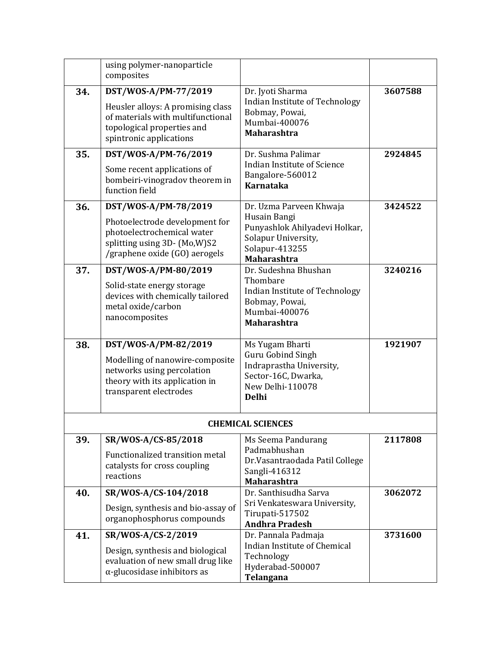|     | using polymer-nanoparticle<br>composites                                                                                        |                                                                                                                 |         |
|-----|---------------------------------------------------------------------------------------------------------------------------------|-----------------------------------------------------------------------------------------------------------------|---------|
| 34. | DST/WOS-A/PM-77/2019                                                                                                            | Dr. Jyoti Sharma                                                                                                | 3607588 |
|     | Heusler alloys: A promising class<br>of materials with multifunctional<br>topological properties and<br>spintronic applications | Indian Institute of Technology<br>Bobmay, Powai,<br>Mumbai-400076<br><b>Maharashtra</b>                         |         |
| 35. | DST/WOS-A/PM-76/2019                                                                                                            | Dr. Sushma Palimar                                                                                              | 2924845 |
|     | Some recent applications of<br>bombeiri-vinogradov theorem in<br>function field                                                 | <b>Indian Institute of Science</b><br>Bangalore-560012<br><b>Karnataka</b>                                      |         |
| 36. | DST/WOS-A/PM-78/2019                                                                                                            | Dr. Uzma Parveen Khwaja                                                                                         | 3424522 |
|     | Photoelectrode development for<br>photoelectrochemical water<br>splitting using 3D- (Mo,W)S2<br>/graphene oxide (GO) aerogels   | Husain Bangi<br>Punyashlok Ahilyadevi Holkar,<br>Solapur University,<br>Solapur-413255<br><b>Maharashtra</b>    |         |
| 37. | DST/WOS-A/PM-80/2019                                                                                                            | Dr. Sudeshna Bhushan                                                                                            | 3240216 |
|     | Solid-state energy storage<br>devices with chemically tailored<br>metal oxide/carbon<br>nanocomposites                          | Thombare<br>Indian Institute of Technology<br>Bobmay, Powai,<br>Mumbai-400076<br><b>Maharashtra</b>             |         |
| 38. | DST/WOS-A/PM-82/2019                                                                                                            | Ms Yugam Bharti                                                                                                 | 1921907 |
|     | Modelling of nanowire-composite<br>networks using percolation<br>theory with its application in<br>transparent electrodes       | <b>Guru Gobind Singh</b><br>Indraprastha University,<br>Sector-16C, Dwarka,<br>New Delhi-110078<br><b>Delhi</b> |         |
|     |                                                                                                                                 | <b>CHEMICAL SCIENCES</b>                                                                                        |         |
| 39. | SR/WOS-A/CS-85/2018<br>Functionalized transition metal<br>catalysts for cross coupling<br>reactions                             | Ms Seema Pandurang<br>Padmabhushan<br>Dr.Vasantraodada Patil College<br>Sangli-416312<br>Maharashtra            | 2117808 |
| 40. | SR/WOS-A/CS-104/2018                                                                                                            | Dr. Santhisudha Sarva                                                                                           | 3062072 |
|     | Design, synthesis and bio-assay of<br>organophosphorus compounds                                                                | Sri Venkateswara University,<br>Tirupati-517502<br><b>Andhra Pradesh</b>                                        |         |
| 41. | SR/WOS-A/CS-2/2019                                                                                                              | Dr. Pannala Padmaja                                                                                             | 3731600 |
|     | Design, synthesis and biological<br>evaluation of new small drug like<br>$\alpha$ -glucosidase inhibitors as                    | Indian Institute of Chemical<br>Technology<br>Hyderabad-500007<br>Telangana                                     |         |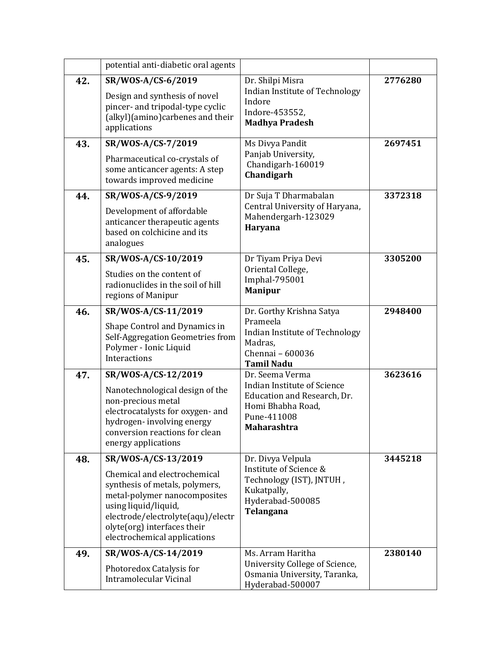|     | potential anti-diabetic oral agents                                                                                                                                                                                                               |                                                                                                                                         |         |
|-----|---------------------------------------------------------------------------------------------------------------------------------------------------------------------------------------------------------------------------------------------------|-----------------------------------------------------------------------------------------------------------------------------------------|---------|
| 42. | SR/WOS-A/CS-6/2019<br>Design and synthesis of novel<br>pincer- and tripodal-type cyclic<br>(alkyl)(amino)carbenes and their<br>applications                                                                                                       | Dr. Shilpi Misra<br>Indian Institute of Technology<br>Indore<br>Indore-453552,<br><b>Madhya Pradesh</b>                                 | 2776280 |
| 43. | SR/WOS-A/CS-7/2019<br>Pharmaceutical co-crystals of<br>some anticancer agents: A step<br>towards improved medicine                                                                                                                                | Ms Divya Pandit<br>Panjab University,<br>Chandigarh-160019<br>Chandigarh                                                                | 2697451 |
| 44. | SR/WOS-A/CS-9/2019<br>Development of affordable<br>anticancer therapeutic agents<br>based on colchicine and its<br>analogues                                                                                                                      | Dr Suja T Dharmabalan<br>Central University of Haryana,<br>Mahendergarh-123029<br><b>Haryana</b>                                        | 3372318 |
| 45. | SR/WOS-A/CS-10/2019<br>Studies on the content of<br>radionuclides in the soil of hill<br>regions of Manipur                                                                                                                                       | Dr Tiyam Priya Devi<br>Oriental College,<br>Imphal-795001<br><b>Manipur</b>                                                             | 3305200 |
| 46. | SR/WOS-A/CS-11/2019<br>Shape Control and Dynamics in<br>Self-Aggregation Geometries from<br>Polymer - Ionic Liquid<br>Interactions                                                                                                                | Dr. Gorthy Krishna Satya<br>Prameela<br>Indian Institute of Technology<br>Madras,<br>Chennai - 600036<br><b>Tamil Nadu</b>              | 2948400 |
| 47. | SR/WOS-A/CS-12/2019<br>Nanotechnological design of the<br>non-precious metal<br>electrocatalysts for oxygen- and<br>hydrogen-involving energy<br>conversion reactions for clean<br>energy applications                                            | Dr. Seema Verma<br><b>Indian Institute of Science</b><br>Education and Research, Dr.<br>Homi Bhabha Road,<br>Pune-411008<br>Maharashtra | 3623616 |
| 48. | SR/WOS-A/CS-13/2019<br>Chemical and electrochemical<br>synthesis of metals, polymers,<br>metal-polymer nanocomposites<br>using liquid/liquid,<br>electrode/electrolyte(aqu)/electr<br>olyte(org) interfaces their<br>electrochemical applications | Dr. Divya Velpula<br>Institute of Science &<br>Technology (IST), JNTUH,<br>Kukatpally,<br>Hyderabad-500085<br>Telangana                 | 3445218 |
| 49. | SR/WOS-A/CS-14/2019<br>Photoredox Catalysis for<br><b>Intramolecular Vicinal</b>                                                                                                                                                                  | Ms. Arram Haritha<br>University College of Science,<br>Osmania University, Taranka,<br>Hyderabad-500007                                 | 2380140 |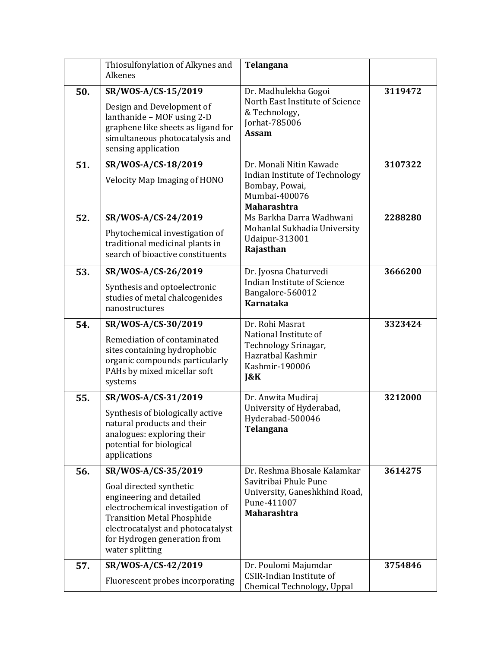|     | Thiosulfonylation of Alkynes and<br>Alkenes                                                                                                                                                                                                 | Telangana                                                                                                                  |         |
|-----|---------------------------------------------------------------------------------------------------------------------------------------------------------------------------------------------------------------------------------------------|----------------------------------------------------------------------------------------------------------------------------|---------|
| 50. | SR/WOS-A/CS-15/2019<br>Design and Development of<br>lanthanide - MOF using 2-D<br>graphene like sheets as ligand for<br>simultaneous photocatalysis and<br>sensing application                                                              | Dr. Madhulekha Gogoi<br>North East Institute of Science<br>& Technology,<br>Jorhat-785006<br><b>Assam</b>                  | 3119472 |
| 51. | SR/WOS-A/CS-18/2019<br><b>Velocity Map Imaging of HONO</b>                                                                                                                                                                                  | Dr. Monali Nitin Kawade<br>Indian Institute of Technology<br>Bombay, Powai,<br>Mumbai-400076<br><b>Maharashtra</b>         | 3107322 |
| 52. | SR/WOS-A/CS-24/2019<br>Phytochemical investigation of<br>traditional medicinal plants in<br>search of bioactive constituents                                                                                                                | Ms Barkha Darra Wadhwani<br>Mohanlal Sukhadia University<br>Udaipur-313001<br>Rajasthan                                    | 2288280 |
| 53. | SR/WOS-A/CS-26/2019<br>Synthesis and optoelectronic<br>studies of metal chalcogenides<br>nanostructures                                                                                                                                     | Dr. Jyosna Chaturvedi<br>Indian Institute of Science<br>Bangalore-560012<br><b>Karnataka</b>                               | 3666200 |
| 54. | SR/WOS-A/CS-30/2019<br>Remediation of contaminated<br>sites containing hydrophobic<br>organic compounds particularly<br>PAHs by mixed micellar soft<br>systems                                                                              | Dr. Rohi Masrat<br>National Institute of<br>Technology Srinagar,<br>Hazratbal Kashmir<br>Kashmir-190006<br>$\mathbf{R}$ K  | 3323424 |
| 55. | SR/WOS-A/CS-31/2019<br>Synthesis of biologically active<br>natural products and their<br>analogues: exploring their<br>potential for biological<br>applications                                                                             | Dr. Anwita Mudiraj<br>University of Hyderabad,<br>Hyderabad-500046<br>Telangana                                            | 3212000 |
| 56. | SR/WOS-A/CS-35/2019<br>Goal directed synthetic<br>engineering and detailed<br>electrochemical investigation of<br><b>Transition Metal Phosphide</b><br>electrocatalyst and photocatalyst<br>for Hydrogen generation from<br>water splitting | Dr. Reshma Bhosale Kalamkar<br>Savitribai Phule Pune<br>University, Ganeshkhind Road,<br>Pune-411007<br><b>Maharashtra</b> | 3614275 |
| 57. | SR/WOS-A/CS-42/2019<br>Fluorescent probes incorporating                                                                                                                                                                                     | Dr. Poulomi Majumdar<br>CSIR-Indian Institute of<br>Chemical Technology, Uppal                                             | 3754846 |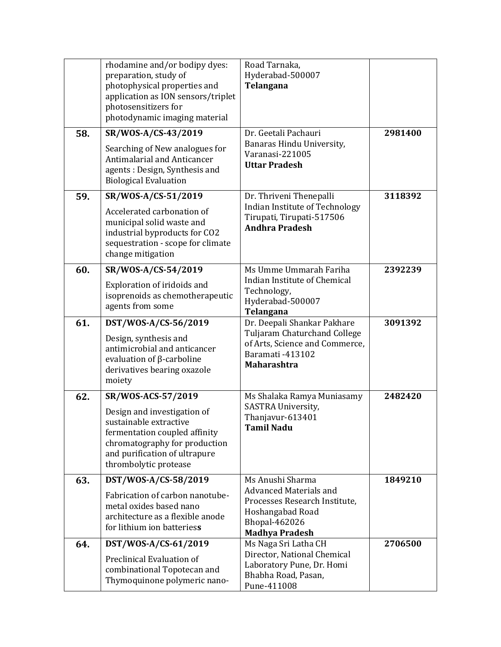|     | rhodamine and/or bodipy dyes:<br>preparation, study of<br>photophysical properties and<br>application as ION sensors/triplet<br>photosensitizers for<br>photodynamic imaging material                   | Road Tarnaka,<br>Hyderabad-500007<br>Telangana                                                                                                   |         |
|-----|---------------------------------------------------------------------------------------------------------------------------------------------------------------------------------------------------------|--------------------------------------------------------------------------------------------------------------------------------------------------|---------|
| 58. | SR/WOS-A/CS-43/2019<br>Searching of New analogues for<br><b>Antimalarial and Anticancer</b><br>agents: Design, Synthesis and<br><b>Biological Evaluation</b>                                            | Dr. Geetali Pachauri<br>Banaras Hindu University,<br>Varanasi-221005<br><b>Uttar Pradesh</b>                                                     | 2981400 |
| 59. | SR/WOS-A/CS-51/2019<br>Accelerated carbonation of<br>municipal solid waste and<br>industrial byproducts for CO2<br>sequestration - scope for climate<br>change mitigation                               | Dr. Thriveni Thenepalli<br>Indian Institute of Technology<br>Tirupati, Tirupati-517506<br><b>Andhra Pradesh</b>                                  | 3118392 |
| 60. | SR/WOS-A/CS-54/2019<br>Exploration of iridoids and<br>isoprenoids as chemotherapeutic<br>agents from some                                                                                               | Ms Umme Ummarah Fariha<br>Indian Institute of Chemical<br>Technology,<br>Hyderabad-500007<br>Telangana                                           | 2392239 |
| 61. | DST/WOS-A/CS-56/2019<br>Design, synthesis and<br>antimicrobial and anticancer<br>evaluation of $\beta$ -carboline<br>derivatives bearing oxazole<br>moiety                                              | Dr. Deepali Shankar Pakhare<br>Tuljaram Chaturchand College<br>of Arts, Science and Commerce,<br>Baramati -413102<br><b>Maharashtra</b>          | 3091392 |
| 62. | SR/WOS-ACS-57/2019<br>Design and investigation of<br>sustainable extractive<br>fermentation coupled affinity<br>chromatography for production<br>and purification of ultrapure<br>thrombolytic protease | Ms Shalaka Ramya Muniasamy<br>SASTRA University,<br>Thanjavur-613401<br>Tamil Nadu                                                               | 2482420 |
| 63. | DST/WOS-A/CS-58/2019<br>Fabrication of carbon nanotube-<br>metal oxides based nano<br>architecture as a flexible anode<br>for lithium ion batteriess                                                    | Ms Anushi Sharma<br><b>Advanced Materials and</b><br>Processes Research Institute,<br>Hoshangabad Road<br>Bhopal-462026<br><b>Madhya Pradesh</b> | 1849210 |
| 64. | DST/WOS-A/CS-61/2019<br>Preclinical Evaluation of<br>combinational Topotecan and<br>Thymoquinone polymeric nano-                                                                                        | Ms Naga Sri Latha CH<br>Director, National Chemical<br>Laboratory Pune, Dr. Homi<br>Bhabha Road, Pasan,<br>Pune-411008                           | 2706500 |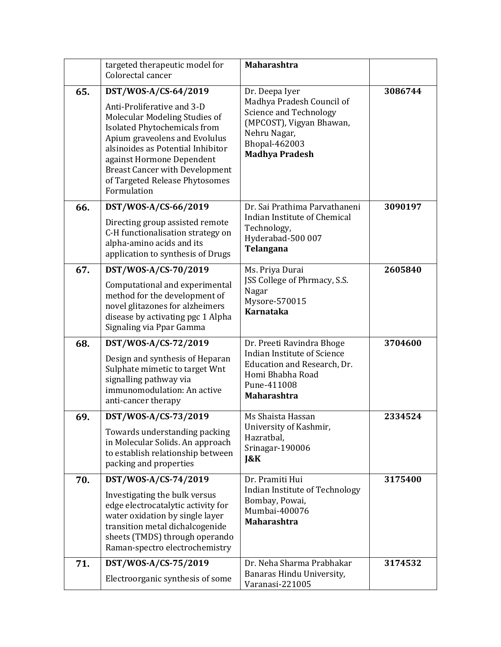|     | targeted therapeutic model for<br>Colorectal cancer                                                                                                                                                                                                                                             | <b>Maharashtra</b>                                                                                                                                      |         |
|-----|-------------------------------------------------------------------------------------------------------------------------------------------------------------------------------------------------------------------------------------------------------------------------------------------------|---------------------------------------------------------------------------------------------------------------------------------------------------------|---------|
| 65. | DST/WOS-A/CS-64/2019                                                                                                                                                                                                                                                                            | Dr. Deepa Iyer                                                                                                                                          | 3086744 |
|     | Anti-Proliferative and 3-D<br>Molecular Modeling Studies of<br><b>Isolated Phytochemicals from</b><br>Apium graveolens and Evolulus<br>alsinoides as Potential Inhibitor<br>against Hormone Dependent<br><b>Breast Cancer with Development</b><br>of Targeted Release Phytosomes<br>Formulation | Madhya Pradesh Council of<br><b>Science and Technology</b><br>(MPCOST), Vigyan Bhawan,<br>Nehru Nagar,<br><b>Bhopal-462003</b><br><b>Madhya Pradesh</b> |         |
| 66. | DST/WOS-A/CS-66/2019                                                                                                                                                                                                                                                                            | Dr. Sai Prathima Parvathaneni                                                                                                                           | 3090197 |
|     | Directing group assisted remote<br>C-H functionalisation strategy on<br>alpha-amino acids and its<br>application to synthesis of Drugs                                                                                                                                                          | Indian Institute of Chemical<br>Technology,<br>Hyderabad-500 007<br>Telangana                                                                           |         |
| 67. | DST/WOS-A/CS-70/2019                                                                                                                                                                                                                                                                            | Ms. Priya Durai                                                                                                                                         | 2605840 |
|     | Computational and experimental<br>method for the development of<br>novel glitazones for alzheimers<br>disease by activating pgc 1 Alpha<br>Signaling via Ppar Gamma                                                                                                                             | JSS College of Phrmacy, S.S.<br>Nagar<br>Mysore-570015<br>Karnataka                                                                                     |         |
| 68. | DST/WOS-A/CS-72/2019                                                                                                                                                                                                                                                                            | Dr. Preeti Ravindra Bhoge                                                                                                                               | 3704600 |
|     | Design and synthesis of Heparan<br>Sulphate mimetic to target Wnt<br>signalling pathway via<br>immunomodulation: An active<br>anti-cancer therapy                                                                                                                                               | <b>Indian Institute of Science</b><br>Education and Research, Dr.<br>Homi Bhabha Road<br>Pune-411008<br><b>Maharashtra</b>                              |         |
| 69. | DST/WOS-A/CS-73/2019                                                                                                                                                                                                                                                                            | Ms Shaista Hassan                                                                                                                                       | 2334524 |
|     | Towards understanding packing<br>in Molecular Solids. An approach<br>to establish relationship between<br>packing and properties                                                                                                                                                                | University of Kashmir,<br>Hazratbal,<br>Srinagar-190006<br>$\&K$                                                                                        |         |
| 70. | DST/WOS-A/CS-74/2019                                                                                                                                                                                                                                                                            | Dr. Pramiti Hui                                                                                                                                         | 3175400 |
|     | Investigating the bulk versus<br>edge electrocatalytic activity for<br>water oxidation by single layer<br>transition metal dichalcogenide<br>sheets (TMDS) through operando<br>Raman-spectro electrochemistry                                                                                   | Indian Institute of Technology<br>Bombay, Powai,<br>Mumbai-400076<br><b>Maharashtra</b>                                                                 |         |
| 71. | DST/WOS-A/CS-75/2019                                                                                                                                                                                                                                                                            | Dr. Neha Sharma Prabhakar                                                                                                                               | 3174532 |
|     | Electroorganic synthesis of some                                                                                                                                                                                                                                                                | Banaras Hindu University,<br>Varanasi-221005                                                                                                            |         |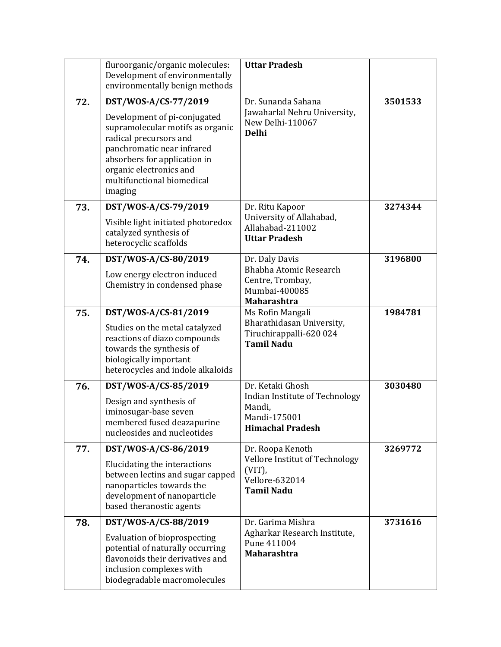|     | fluroorganic/organic molecules:<br>Development of environmentally<br>environmentally benign methods                                                                                                                                                  | <b>Uttar Pradesh</b>                                                                                    |         |
|-----|------------------------------------------------------------------------------------------------------------------------------------------------------------------------------------------------------------------------------------------------------|---------------------------------------------------------------------------------------------------------|---------|
| 72. | DST/WOS-A/CS-77/2019<br>Development of pi-conjugated<br>supramolecular motifs as organic<br>radical precursors and<br>panchromatic near infrared<br>absorbers for application in<br>organic electronics and<br>multifunctional biomedical<br>imaging | Dr. Sunanda Sahana<br>Jawaharlal Nehru University,<br>New Delhi-110067<br><b>Delhi</b>                  | 3501533 |
| 73. | DST/WOS-A/CS-79/2019<br>Visible light initiated photoredox<br>catalyzed synthesis of<br>heterocyclic scaffolds                                                                                                                                       | Dr. Ritu Kapoor<br>University of Allahabad,<br>Allahabad-211002<br><b>Uttar Pradesh</b>                 | 3274344 |
| 74. | DST/WOS-A/CS-80/2019<br>Low energy electron induced<br>Chemistry in condensed phase                                                                                                                                                                  | Dr. Daly Davis<br>Bhabha Atomic Research<br>Centre, Trombay,<br>Mumbai-400085<br><b>Maharashtra</b>     | 3196800 |
| 75. | DST/WOS-A/CS-81/2019<br>Studies on the metal catalyzed<br>reactions of diazo compounds<br>towards the synthesis of<br>biologically important<br>heterocycles and indole alkaloids                                                                    | Ms Rofin Mangali<br>Bharathidasan University,<br>Tiruchirappalli-620 024<br><b>Tamil Nadu</b>           | 1984781 |
| 76. | DST/WOS-A/CS-85/2019<br>Design and synthesis of<br>iminosugar-base seven<br>membered fused deazapurine<br>nucleosides and nucleotides                                                                                                                | Dr. Ketaki Ghosh<br>Indian Institute of Technology<br>Mandi,<br>Mandi-175001<br><b>Himachal Pradesh</b> | 3030480 |
| 77. | DST/WOS-A/CS-86/2019<br>Elucidating the interactions<br>between lectins and sugar capped<br>nanoparticles towards the<br>development of nanoparticle<br>based theranostic agents                                                                     | Dr. Roopa Kenoth<br>Vellore Institut of Technology<br>$(VIT)$ ,<br>Vellore-632014<br><b>Tamil Nadu</b>  | 3269772 |
| 78. | DST/WOS-A/CS-88/2019<br><b>Evaluation of bioprospecting</b><br>potential of naturally occurring<br>flavonoids their derivatives and<br>inclusion complexes with<br>biodegradable macromolecules                                                      | Dr. Garima Mishra<br>Agharkar Research Institute,<br>Pune 411004<br><b>Maharashtra</b>                  | 3731616 |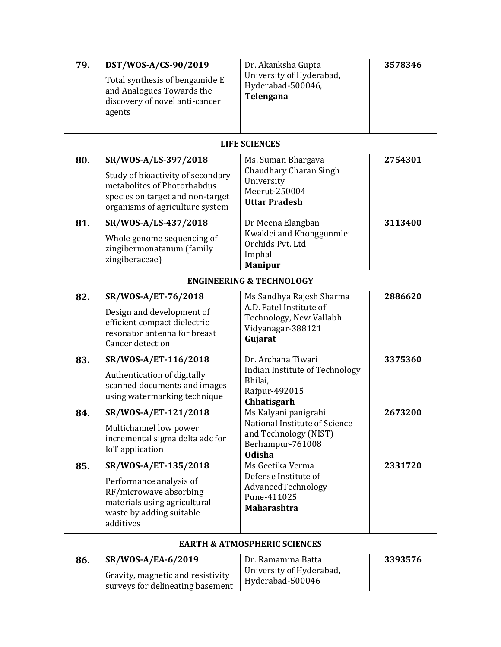| 79. | DST/WOS-A/CS-90/2019<br>Total synthesis of bengamide E                                                                                  | Dr. Akanksha Gupta<br>University of Hyderabad,<br>Hyderabad-500046,           | 3578346 |  |  |
|-----|-----------------------------------------------------------------------------------------------------------------------------------------|-------------------------------------------------------------------------------|---------|--|--|
|     | and Analogues Towards the<br>discovery of novel anti-cancer<br>agents                                                                   | Telengana                                                                     |         |  |  |
|     |                                                                                                                                         | <b>LIFE SCIENCES</b>                                                          |         |  |  |
| 80. | SR/WOS-A/LS-397/2018                                                                                                                    | Ms. Suman Bhargava                                                            | 2754301 |  |  |
|     | Study of bioactivity of secondary<br>metabolites of Photorhabdus<br>species on target and non-target<br>organisms of agriculture system | Chaudhary Charan Singh<br>University<br>Meerut-250004<br><b>Uttar Pradesh</b> |         |  |  |
| 81. | SR/WOS-A/LS-437/2018                                                                                                                    | Dr Meena Elangban                                                             | 3113400 |  |  |
|     | Whole genome sequencing of                                                                                                              | Kwaklei and Khonggunmlei<br>Orchids Pvt. Ltd                                  |         |  |  |
|     | zingibermonatanum (family<br>zingiberaceae)                                                                                             | Imphal                                                                        |         |  |  |
|     |                                                                                                                                         | <b>Manipur</b>                                                                |         |  |  |
|     | <b>ENGINEERING &amp; TECHNOLOGY</b>                                                                                                     |                                                                               |         |  |  |
| 82. | SR/WOS-A/ET-76/2018                                                                                                                     | Ms Sandhya Rajesh Sharma<br>A.D. Patel Institute of                           | 2886620 |  |  |
|     | Design and development of<br>efficient compact dielectric                                                                               | Technology, New Vallabh                                                       |         |  |  |
|     | resonator antenna for breast<br>Cancer detection                                                                                        | Vidyanagar-388121<br>Gujarat                                                  |         |  |  |
| 83. | SR/WOS-A/ET-116/2018                                                                                                                    | Dr. Archana Tiwari                                                            | 3375360 |  |  |
|     | Authentication of digitally                                                                                                             | Indian Institute of Technology<br>Bhilai,                                     |         |  |  |
|     | scanned documents and images<br>using watermarking technique                                                                            | Raipur-492015                                                                 |         |  |  |
| 84. | SR/WOS-A/ET-121/2018                                                                                                                    | Chhatisgarh<br>Ms Kalyani panigrahi                                           | 2673200 |  |  |
|     | Multichannel low power                                                                                                                  | National Institute of Science                                                 |         |  |  |
|     | incremental sigma delta adc for                                                                                                         | and Technology (NIST)<br>Berhampur-761008                                     |         |  |  |
|     | IoT application                                                                                                                         | <b>Odisha</b>                                                                 |         |  |  |
| 85. | SR/WOS-A/ET-135/2018                                                                                                                    | Ms Geetika Verma<br>Defense Institute of                                      | 2331720 |  |  |
|     | Performance analysis of<br>RF/microwave absorbing                                                                                       | AdvancedTechnology                                                            |         |  |  |
|     | materials using agricultural                                                                                                            | Pune-411025<br><b>Maharashtra</b>                                             |         |  |  |
|     | waste by adding suitable<br>additives                                                                                                   |                                                                               |         |  |  |
|     |                                                                                                                                         | <b>EARTH &amp; ATMOSPHERIC SCIENCES</b>                                       |         |  |  |
| 86. | SR/WOS-A/EA-6/2019                                                                                                                      | Dr. Ramamma Batta                                                             | 3393576 |  |  |
|     | Gravity, magnetic and resistivity<br>surveys for delineating basement                                                                   | University of Hyderabad,<br>Hyderabad-500046                                  |         |  |  |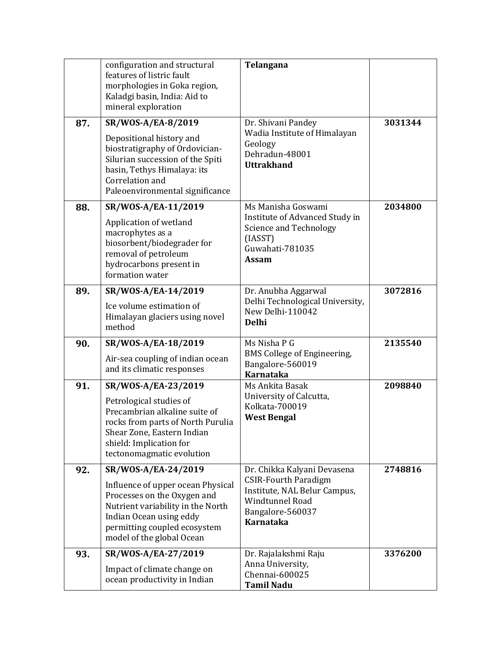|     | configuration and structural<br>features of listric fault<br>morphologies in Goka region,<br>Kaladgi basin, India: Aid to<br>mineral exploration                                                                     | Telangana                                                                                                                                      |         |
|-----|----------------------------------------------------------------------------------------------------------------------------------------------------------------------------------------------------------------------|------------------------------------------------------------------------------------------------------------------------------------------------|---------|
| 87. | SR/WOS-A/EA-8/2019<br>Depositional history and<br>biostratigraphy of Ordovician-<br>Silurian succession of the Spiti<br>basin, Tethys Himalaya: its<br>Correlation and<br>Paleoenvironmental significance            | Dr. Shivani Pandey<br>Wadia Institute of Himalayan<br>Geology<br>Dehradun-48001<br><b>Uttrakhand</b>                                           | 3031344 |
| 88. | SR/WOS-A/EA-11/2019<br>Application of wetland<br>macrophytes as a<br>biosorbent/biodegrader for<br>removal of petroleum<br>hydrocarbons present in<br>formation water                                                | Ms Manisha Goswami<br>Institute of Advanced Study in<br><b>Science and Technology</b><br>(IASST)<br>Guwahati-781035<br><b>Assam</b>            | 2034800 |
| 89. | SR/WOS-A/EA-14/2019<br>Ice volume estimation of<br>Himalayan glaciers using novel<br>method                                                                                                                          | Dr. Anubha Aggarwal<br>Delhi Technological University,<br>New Delhi-110042<br><b>Delhi</b>                                                     | 3072816 |
| 90. | SR/WOS-A/EA-18/2019<br>Air-sea coupling of indian ocean<br>and its climatic responses                                                                                                                                | Ms Nisha P G<br>BMS College of Engineering,<br>Bangalore-560019<br><b>Karnataka</b>                                                            | 2135540 |
| 91. | SR/WOS-A/EA-23/2019<br>Petrological studies of<br>Precambrian alkaline suite of<br>rocks from parts of North Purulia<br>Shear Zone, Eastern Indian<br>shield: Implication for<br>tectonomagmatic evolution           | Ms Ankita Basak<br>University of Calcutta,<br>Kolkata-700019<br><b>West Bengal</b>                                                             | 2098840 |
| 92. | SR/WOS-A/EA-24/2019<br>Influence of upper ocean Physical<br>Processes on the Oxygen and<br>Nutrient variability in the North<br>Indian Ocean using eddy<br>permitting coupled ecosystem<br>model of the global Ocean | Dr. Chikka Kalyani Devasena<br><b>CSIR-Fourth Paradigm</b><br>Institute, NAL Belur Campus,<br>Windtunnel Road<br>Bangalore-560037<br>Karnataka | 2748816 |
| 93. | SR/WOS-A/EA-27/2019<br>Impact of climate change on<br>ocean productivity in Indian                                                                                                                                   | Dr. Rajalakshmi Raju<br>Anna University,<br>Chennai-600025<br><b>Tamil Nadu</b>                                                                | 3376200 |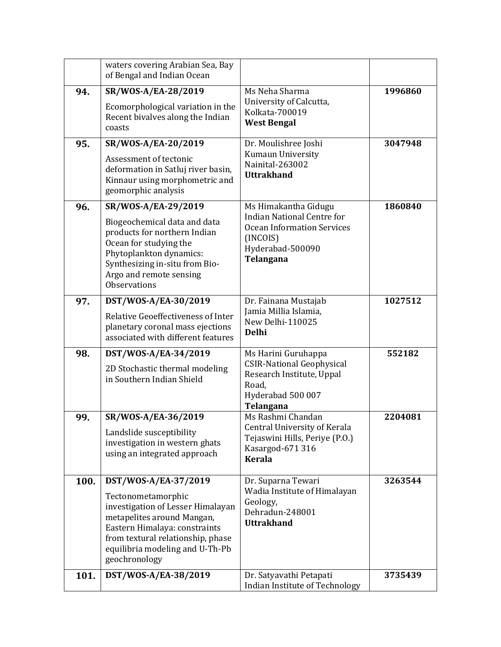|      | waters covering Arabian Sea, Bay<br>of Bengal and Indian Ocean                                                                                                                                                                          |                                                                                                                                             |         |
|------|-----------------------------------------------------------------------------------------------------------------------------------------------------------------------------------------------------------------------------------------|---------------------------------------------------------------------------------------------------------------------------------------------|---------|
| 94.  | SR/WOS-A/EA-28/2019<br>Ecomorphological variation in the<br>Recent bivalves along the Indian<br>coasts                                                                                                                                  | Ms Neha Sharma<br>University of Calcutta,<br>Kolkata-700019<br><b>West Bengal</b>                                                           | 1996860 |
| 95.  | SR/WOS-A/EA-20/2019<br>Assessment of tectonic<br>deformation in Satluj river basin,<br>Kinnaur using morphometric and<br>geomorphic analysis                                                                                            | Dr. Moulishree Joshi<br>Kumaun University<br>Nainital-263002<br><b>Uttrakhand</b>                                                           | 3047948 |
| 96.  | SR/WOS-A/EA-29/2019<br>Biogeochemical data and data<br>products for northern Indian<br>Ocean for studying the<br>Phytoplankton dynamics:<br>Synthesizing in-situ from Bio-<br>Argo and remote sensing<br><b>Observations</b>            | Ms Himakantha Gidugu<br><b>Indian National Centre for</b><br><b>Ocean Information Services</b><br>(INCOIS)<br>Hyderabad-500090<br>Telangana | 1860840 |
| 97.  | DST/WOS-A/EA-30/2019<br>Relative Geoeffectiveness of Inter<br>planetary coronal mass ejections<br>associated with different features                                                                                                    | Dr. Fainana Mustajab<br>Jamia Millia Islamia,<br>New Delhi-110025<br><b>Delhi</b>                                                           | 1027512 |
| 98.  | DST/WOS-A/EA-34/2019<br>2D Stochastic thermal modeling<br>in Southern Indian Shield                                                                                                                                                     | Ms Harini Guruhappa<br><b>CSIR-National Geophysical</b><br>Research Institute, Uppal<br>Road,<br>Hyderabad 500 007<br>Telangana             | 552182  |
| 99.  | SR/WOS-A/EA-36/2019<br>Landslide susceptibility<br>investigation in western ghats<br>using an integrated approach                                                                                                                       | Ms Rashmi Chandan<br>Central University of Kerala<br>Tejaswini Hills, Periye (P.O.)<br>Kasargod-671 316<br><b>Kerala</b>                    | 2204081 |
| 100. | DST/WOS-A/EA-37/2019<br>Tectonometamorphic<br>investigation of Lesser Himalayan<br>metapelites around Mangan,<br>Eastern Himalaya: constraints<br>from textural relationship, phase<br>equilibria modeling and U-Th-Pb<br>geochronology | Dr. Suparna Tewari<br>Wadia Institute of Himalayan<br>Geology,<br>Dehradun-248001<br><b>Uttrakhand</b>                                      | 3263544 |
| 101. | DST/WOS-A/EA-38/2019                                                                                                                                                                                                                    | Dr. Satyavathi Petapati<br>Indian Institute of Technology                                                                                   | 3735439 |